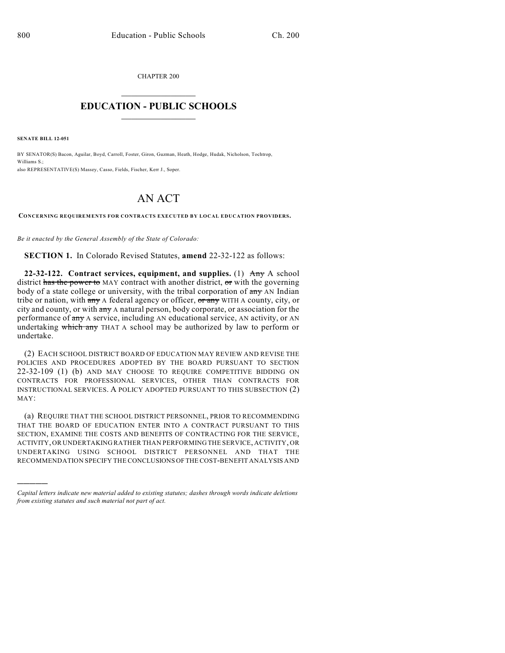CHAPTER 200  $\mathcal{L}_\text{max}$  . The set of the set of the set of the set of the set of the set of the set of the set of the set of the set of the set of the set of the set of the set of the set of the set of the set of the set of the set

## **EDUCATION - PUBLIC SCHOOLS**  $\_$   $\_$   $\_$   $\_$   $\_$   $\_$   $\_$   $\_$   $\_$

**SENATE BILL 12-051**

)))))

BY SENATOR(S) Bacon, Aguilar, Boyd, Carroll, Foster, Giron, Guzman, Heath, Hodge, Hudak, Nicholson, Tochtrop, Williams S.; also REPRESENTATIVE(S) Massey, Casso, Fields, Fischer, Kerr J., Soper.

## AN ACT

**CONCERNING REQUIREMENTS FOR CONTRACTS EXECUTED BY LOCAL EDUCATION PROVIDERS.**

*Be it enacted by the General Assembly of the State of Colorado:*

**SECTION 1.** In Colorado Revised Statutes, **amend** 22-32-122 as follows:

**22-32-122. Contract services, equipment, and supplies.** (1) Any A school district has the power to MAY contract with another district, or with the governing body of a state college or university, with the tribal corporation of any AN Indian tribe or nation, with any A federal agency or officer, or any WITH A county, city, or city and county, or with any A natural person, body corporate, or association for the performance of any A service, including AN educational service, AN activity, or AN undertaking which any THAT A school may be authorized by law to perform or undertake.

(2) EACH SCHOOL DISTRICT BOARD OF EDUCATION MAY REVIEW AND REVISE THE POLICIES AND PROCEDURES ADOPTED BY THE BOARD PURSUANT TO SECTION 22-32-109 (1) (b) AND MAY CHOOSE TO REQUIRE COMPETITIVE BIDDING ON CONTRACTS FOR PROFESSIONAL SERVICES, OTHER THAN CONTRACTS FOR INSTRUCTIONAL SERVICES. A POLICY ADOPTED PURSUANT TO THIS SUBSECTION (2) MAY:

(a) REQUIRE THAT THE SCHOOL DISTRICT PERSONNEL, PRIOR TO RECOMMENDING THAT THE BOARD OF EDUCATION ENTER INTO A CONTRACT PURSUANT TO THIS SECTION, EXAMINE THE COSTS AND BENEFITS OF CONTRACTING FOR THE SERVICE, ACTIVITY, OR UNDERTAKING RATHER THAN PERFORMING THE SERVICE, ACTIVITY, OR UNDERTAKING USING SCHOOL DISTRICT PERSONNEL AND THAT THE RECOMMENDATION SPECIFY THE CONCLUSIONS OFTHE COST-BENEFIT ANALYSIS AND

*Capital letters indicate new material added to existing statutes; dashes through words indicate deletions from existing statutes and such material not part of act.*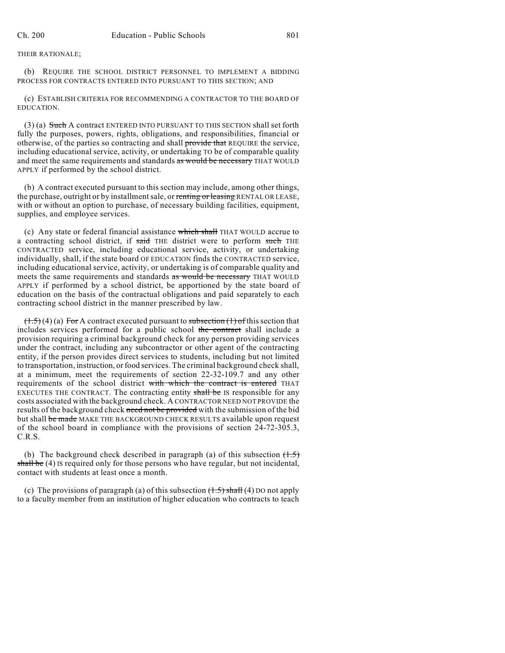## THEIR RATIONALE;

(b) REQUIRE THE SCHOOL DISTRICT PERSONNEL TO IMPLEMENT A BIDDING PROCESS FOR CONTRACTS ENTERED INTO PURSUANT TO THIS SECTION; AND

(c) ESTABLISH CRITERIA FOR RECOMMENDING A CONTRACTOR TO THE BOARD OF EDUCATION.

 $(3)$  (a) Such A contract ENTERED INTO PURSUANT TO THIS SECTION shall set forth fully the purposes, powers, rights, obligations, and responsibilities, financial or otherwise, of the parties so contracting and shall provide that REQUIRE the service, including educational service, activity, or undertaking TO be of comparable quality and meet the same requirements and standards as would be necessary THAT WOULD APPLY if performed by the school district.

(b) A contract executed pursuant to this section may include, among other things, the purchase, outright or by installment sale, or renting or leasing RENTAL OR LEASE, with or without an option to purchase, of necessary building facilities, equipment, supplies, and employee services.

(c) Any state or federal financial assistance which shall THAT WOULD accrue to a contracting school district, if said THE district were to perform such THE CONTRACTED service, including educational service, activity, or undertaking individually, shall, if the state board OF EDUCATION finds the CONTRACTED service, including educational service, activity, or undertaking is of comparable quality and meets the same requirements and standards as would be necessary THAT WOULD APPLY if performed by a school district, be apportioned by the state board of education on the basis of the contractual obligations and paid separately to each contracting school district in the manner prescribed by law.

 $(1.5)(4)(a)$  For A contract executed pursuant to subsection  $(1)$  of this section that includes services performed for a public school the contract shall include a provision requiring a criminal background check for any person providing services under the contract, including any subcontractor or other agent of the contracting entity, if the person provides direct services to students, including but not limited to transportation, instruction, or food services. The criminal background check shall, at a minimum, meet the requirements of section 22-32-109.7 and any other requirements of the school district with which the contract is entered THAT EXECUTES THE CONTRACT. The contracting entity shall be IS responsible for any costs associated with the background check. A CONTRACTOR NEED NOT PROVIDE the results of the background check need not be provided with the submission of the bid but shall be made MAKE THE BACKGROUND CHECK RESULTS available upon request of the school board in compliance with the provisions of section 24-72-305.3, C.R.S.

(b) The background check described in paragraph (a) of this subsection  $(1.5)$ shall be (4) Is required only for those persons who have regular, but not incidental, contact with students at least once a month.

(c) The provisions of paragraph (a) of this subsection  $(\pm .5)$  shall (4) DO not apply to a faculty member from an institution of higher education who contracts to teach